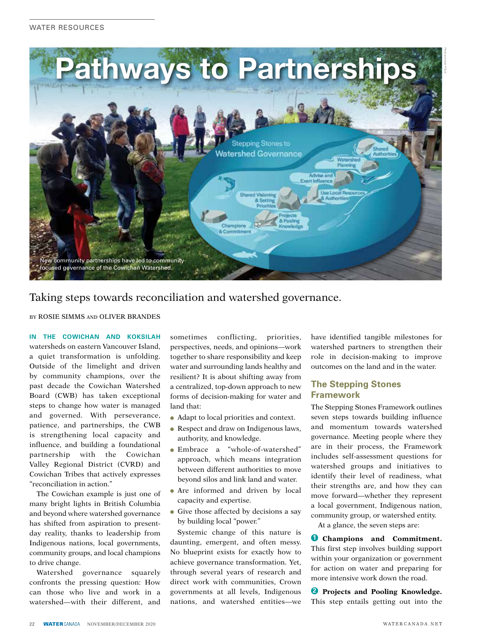

## Taking steps towards reconciliation and watershed governance.

BY ROSIE SIMMS AND OLIVER BRANDES

**IN THE COWICHAN AND KOKSILAH** watersheds on eastern Vancouver Island, a quiet transformation is unfolding. Outside of the limelight and driven by community champions, over the past decade the Cowichan Watershed Board (CWB) has taken exceptional steps to change how water is managed and governed. With perseverance, patience, and partnerships, the CWB is strengthening local capacity and influence, and building a foundational partnership with the Cowichan Valley Regional District (CVRD) and Cowichan Tribes that actively expresses "reconciliation in action."

The Cowichan example is just one of many bright lights in British Columbia and beyond where watershed governance has shifted from aspiration to presentday reality, thanks to leadership from Indigenous nations, local governments, community groups, and local champions to drive change.

Watershed governance squarely confronts the pressing question: How can those who live and work in a watershed—with their different, and sometimes conflicting, priorities, perspectives, needs, and opinions—work together to share responsibility and keep water and surrounding lands healthy and resilient? It is about shifting away from a centralized, top-down approach to new forms of decision-making for water and land that:

- Adapt to local priorities and context.
- Respect and draw on Indigenous laws, authority, and knowledge.
- Embrace a "whole-of-watershed" approach, which means integration between different authorities to move beyond silos and link land and water.
- **•** Are informed and driven by local capacity and expertise.
- Give those affected by decisions a say by building local "power."

Systemic change of this nature is daunting, emergent, and often messy. No blueprint exists for exactly how to achieve governance transformation. Yet, through several years of research and direct work with communities, Crown governments at all levels, Indigenous nations, and watershed entities—we have identified tangible milestones for watershed partners to strengthen their role in decision-making to improve outcomes on the land and in the water.

## **The Stepping Stones Framework**

The Stepping Stones Framework outlines seven steps towards building influence and momentum towards watershed governance. Meeting people where they are in their process, the Framework includes self-assessment questions for watershed groups and initiatives to identify their level of readiness, what their strengths are, and how they can move forward—whether they represent a local government, Indigenous nation, community group, or watershed entity.

At a glance, the seven steps are:

**1 Champions and Commitment.**  This first step involves building support within your organization or government for action on water and preparing for more intensive work down the road.

**2 Projects and Pooling Knowledge.** This step entails getting out into the